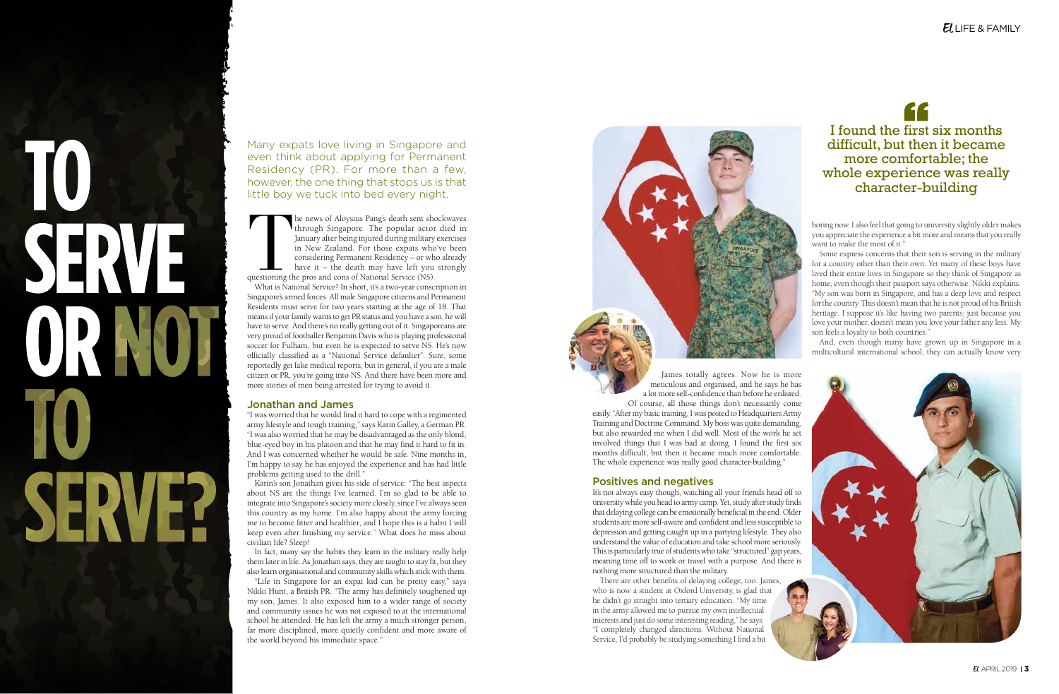# **<sup>2</sup>**APRIL 2019 APRIL 2019 **<sup>3</sup>**The news of Aloysius Pang's death sent shockwaves

through Singapore. The popular actor died in January after being injured during military exercises in New Zealand. For those expats who've been considering Permanent Residency – or who already have it – the death may have left you strongly questioning the pros and cons of National Service (NS). What is National Service? In short, it's a two-year conscription in Singapore's armed forces. All male Singapore citizens and Permanent Residents must serve for two years starting at the age of 18. That means if your family wants to get PR status and you have a son, he will have to serve. And there's no really getting out of it. Singaporeans are very proud of footballer Benjamin Davis who is playing professional soccer for Fulham, but even he is expected to serve NS. He's now officially classified as a "National Service defaulter". Sure, some reportedly get fake medical reports, but in general, if you are a male citizen or PR, you're going into NS. And there have been more and more stories of men being arrested for trying to avoid it.

### Jonathan and James

"I was worried that he would find it hard to cope with a regimented army lifestyle and tough training," says Karin Galley, a German PR. "I was also worried that he may be disadvantaged as the only blond, blue-eyed boy in his platoon and that he may find it hard to fit in. And I was concerned whether he would be safe. Nine months in, I'm happy to say he has enjoyed the experience and has had little problems getting used to the drill."

Karin's son Jonathan gives his side of service: "The best aspects about NS are the things I've learned. I'm so glad to be able to integrate into Singapore's society more closely, since I've always seen this country as my home. I'm also happy about the army forcing me to become fitter and healthier, and I hope this is a habit I will keep even after finishing my service." What does he miss about civilian life? Sleep!

In fact, many say the habits they learn in the military really help them later in life. As Jonathan says, they are taught to stay fit, but they also learn organisational and community skills which stick with them.

"Life in Singapore for an expat kid can be pretty easy," says Nikki Hunt, a British PR. "The army has definitely toughened up my son, James. It also exposed him to a wider range of society and community issues he was not exposed to at the international school he attended. He has left the army a much stronger person, far more disciplined, more quietly confident and more aware of the world beyond his immediate space."

Many expats love living in Singapore and even think about applying for Permanent Residency (PR). For more than a few, however, the one thing that stops us is that little boy we tuck into bed every night.

> James totally agrees. Now he is more meticulous and organised, and he says he has a lot more self-confidence than before he enlisted. Of course, all those things don't necessarily come

easily. "After my basic training, I was posted to Headquarters Army Training and Doctrine Command. My boss was quite demanding, but also rewarded me when I did well. Most of the work he set involved things that I was bad at doing. I found the first six months difficult, but then it became much more comfortable. The whole experience was really good character-building."

# Positives and negatives

It's not always easy though, watching all your friends head off to university while you head to army camp. Yet, study after study finds that delaying college can be emotionally beneficial in the end. Older students are more self-aware and confident and less susceptible to depression and getting caught up in a partying lifestyle. They also understand the value of education and take school more seriously. This is particularly true of students who take "structured" gap years, meaning time off to work or travel with a purpose. And there is nothing more structured than the military.

There are other benefits of delaying college, too. James, who is now a student at Oxford University, is glad that he didn't go straight into tertiary education. "My time in the army allowed me to pursue my own intellectual interests and just do some interesting reading," he says. "I completely changed directions. Without National Service, I'd probably be studying something I find a bit



# "

boring now. I also feel that going to university slightly older makes you appreciate the experience a bit more and means that you really want to make the most of it."

Some express concerns that their son is serving in the military for a country other than their own. Yet many of these boys have lived their entire lives in Singapore so they think of Singapore as "My son was born in Singapore, and has a deep love and respect for the country. This doesn't mean that he is not proud of his British heritage. I suppose it's like having two parents; just because you love your mother, doesn't mean you love your father any less. My son feels a loyalty to both countries."

And, even though many have grown up in Singapore in a multicultural international school, they can actually know very



I found the first six months difficult, but then it became more comfortable; the whole experience was really character-building